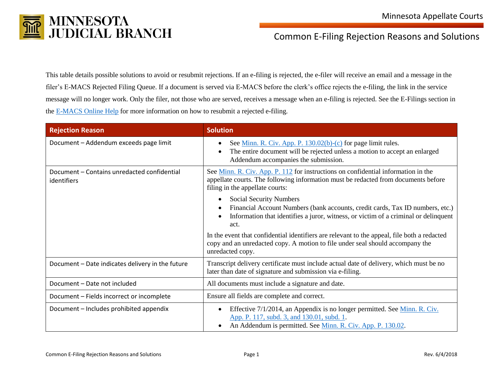

## Common E-Filing Rejection Reasons and Solutions

This table details possible solutions to avoid or resubmit rejections. If an e-filing is rejected, the e-filer will receive an email and a message in the filer's E-MACS Rejected Filing Queue. If a document is served via E-MACS before the clerk's office rejects the e-filing, the link in the service message will no longer work. Only the filer, not those who are served, receives a message when an e-filing is rejected. See the E-Filings section in the [E-MACS Online Help](https://emacs.courts.state.mn.us/help/main.htm#faq.htm) for more information on how to resubmit a rejected e-filing.

| <b>Rejection Reason</b>                                    | <b>Solution</b>                                                                                                                                                                                                                                       |
|------------------------------------------------------------|-------------------------------------------------------------------------------------------------------------------------------------------------------------------------------------------------------------------------------------------------------|
| Document - Addendum exceeds page limit                     | See <u>Minn. R. Civ. App. P. 130.02(b)-(c)</u> for page limit rules.<br>٠<br>The entire document will be rejected unless a motion to accept an enlarged<br>$\bullet$<br>Addendum accompanies the submission.                                          |
| Document – Contains unredacted confidential<br>identifiers | See Minn. R. Civ. App. P. 112 for instructions on confidential information in the<br>appellate courts. The following information must be redacted from documents before<br>filing in the appellate courts:                                            |
|                                                            | <b>Social Security Numbers</b><br>$\bullet$<br>Financial Account Numbers (bank accounts, credit cards, Tax ID numbers, etc.)<br>$\bullet$<br>Information that identifies a juror, witness, or victim of a criminal or delinquent<br>$\bullet$<br>act. |
|                                                            | In the event that confidential identifiers are relevant to the appeal, file both a redacted<br>copy and an unredacted copy. A motion to file under seal should accompany the<br>unredacted copy.                                                      |
| Document - Date indicates delivery in the future           | Transcript delivery certificate must include actual date of delivery, which must be no<br>later than date of signature and submission via e-filing.                                                                                                   |
| Document - Date not included                               | All documents must include a signature and date.                                                                                                                                                                                                      |
| Document - Fields incorrect or incomplete                  | Ensure all fields are complete and correct.                                                                                                                                                                                                           |
| Document - Includes prohibited appendix                    | Effective 7/1/2014, an Appendix is no longer permitted. See Minn. R. Civ.<br>$\bullet$<br>App. P. 117, subd. 3, and 130.01, subd. 1.<br>An Addendum is permitted. See Minn. R. Civ. App. P. 130.02.<br>$\bullet$                                      |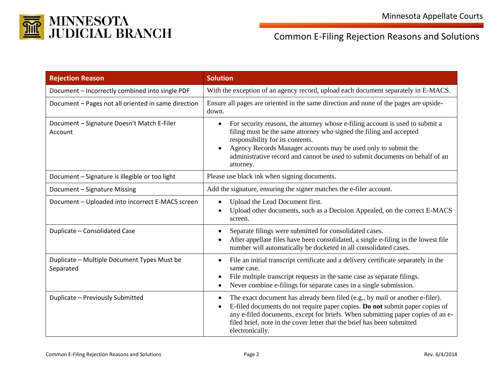

## Common E-Filing Rejection Reasons and Solutions

| <b>Rejection Reason</b>                                  | <b>Solution</b>                                                                                                                                                                                                                                                                                                                                                                   |
|----------------------------------------------------------|-----------------------------------------------------------------------------------------------------------------------------------------------------------------------------------------------------------------------------------------------------------------------------------------------------------------------------------------------------------------------------------|
| Document - Incorrectly combined into single PDF          | With the exception of an agency record, upload each document separately in E-MACS.                                                                                                                                                                                                                                                                                                |
| Document - Pages not all oriented in same direction      | Ensure all pages are oriented in the same direction and none of the pages are upside-<br>down.                                                                                                                                                                                                                                                                                    |
| Document - Signature Doesn't Match E-Filer<br>Account    | For security reasons, the attorney whose e-filing account is used to submit a<br>$\bullet$<br>filing must be the same attorney who signed the filing and accepted<br>responsibility for its contents.<br>Agency Records Manager accounts may be used only to submit the<br>$\bullet$<br>administrative record and cannot be used to submit documents on behalf of an<br>attorney. |
| Document - Signature is illegible or too light           | Please use black ink when signing documents.                                                                                                                                                                                                                                                                                                                                      |
| Document - Signature Missing                             | Add the signature, ensuring the signer matches the e-filer account.                                                                                                                                                                                                                                                                                                               |
| Document - Uploaded into incorrect E-MACS screen         | Upload the Lead Document first.<br>$\bullet$<br>Upload other documents, such as a Decision Appealed, on the correct E-MACS<br>screen.                                                                                                                                                                                                                                             |
| Duplicate - Consolidated Case                            | Separate filings were submitted for consolidated cases.<br>$\bullet$<br>After appellate files have been consolidated, a single e-filing in the lowest file<br>$\bullet$<br>number will automatically be docketed in all consolidated cases.                                                                                                                                       |
| Duplicate - Multiple Document Types Must be<br>Separated | File an initial transcript certificate and a delivery certificate separately in the<br>$\bullet$<br>same case.<br>File multiple transcript requests in the same case as separate filings.<br>$\bullet$<br>Never combine e-filings for separate cases in a single submission.<br>$\bullet$                                                                                         |
| Duplicate - Previously Submitted                         | The exact document has already been filed (e.g., by mail or another e-filer).<br>$\bullet$<br>E-filed documents do not require paper copies. Do not submit paper copies of<br>$\bullet$<br>any e-filed documents, except for briefs. When submitting paper copies of an e-<br>filed brief, note in the cover letter that the brief has been submitted<br>electronically.          |